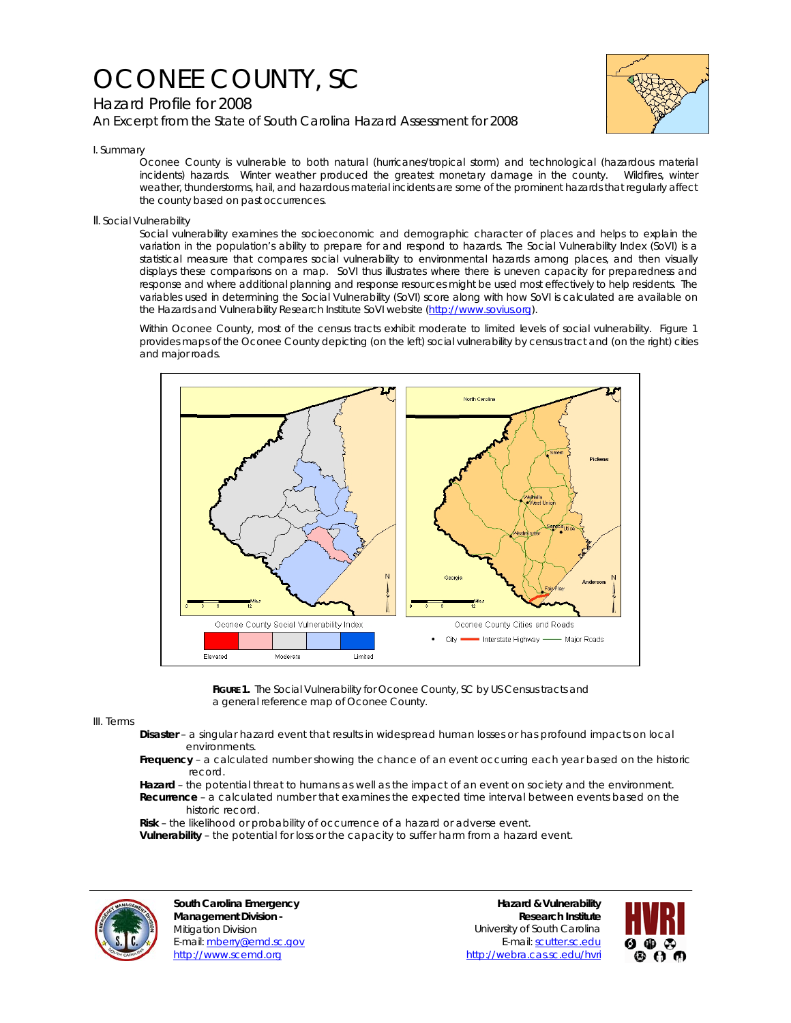# OCONEE COUNTY, SC

## Hazard Profile for 2008

*An Excerpt from the State of South Carolina Hazard Assessment for 2008*



#### I. Summary

Oconee County is vulnerable to both natural (hurricanes/tropical storm) and technological (hazardous material incidents) hazards. Winter weather produced the greatest monetary damage in the county. Wildfires, winter weather, thunderstorms, hail, and hazardous material incidents are some of the prominent hazards that regularly affect the county based on past occurrences.

### II. Social Vulnerability

Social vulnerability examines the socioeconomic and demographic character of places and helps to explain the variation in the population's ability to prepare for and respond to hazards. The Social Vulnerability Index (SoVI) is a statistical measure that compares social vulnerability to environmental hazards among places, and then visually displays these comparisons on a map. SoVI thus illustrates where there is uneven capacity for preparedness and response and where additional planning and response resources might be used most effectively to help residents. The variables used in determining the Social Vulnerability (SoVI) score along with how SoVI is calculated are available on the Hazards and Vulnerability Research Institute SoVI website (http://www.sovius.org).

Within Oconee County, most of the census tracts exhibit moderate to limited levels of social vulnerability. Figure 1 provides maps of the Oconee County depicting (on the left) social vulnerability by census tract and (on the right) cities and major roads.



FIGURE 1. The Social Vulnerability for Oconee County, SC by US Census tracts and a general reference map of Oconee County.

III. Terms

- **Disaster** a singular hazard event that results in widespread human losses or has profound impacts on local environments.
- **Frequency** a calculated number showing the chance of an event occurring each year based on the historic record.
- **Hazard** the potential threat to humans as well as the impact of an event on society and the environment.  **Recurrence** – a calculated number that examines the expected time interval between events based on the historic record.

 **Risk** – the likelihood or probability of occurrence of a hazard or adverse event.

 **Vulnerability** – the potential for loss or the capacity to suffer harm from a hazard event.



**South Carolina Emergency Management Division -**  Mitigation Division E-mail: mberry@emd.sc.gov http://www.scemd.org

**Hazard & Vulnerability Research Institute**  University of South Carolina E-mail: scutter.sc.edu http://webra.cas.sc.edu/hvri

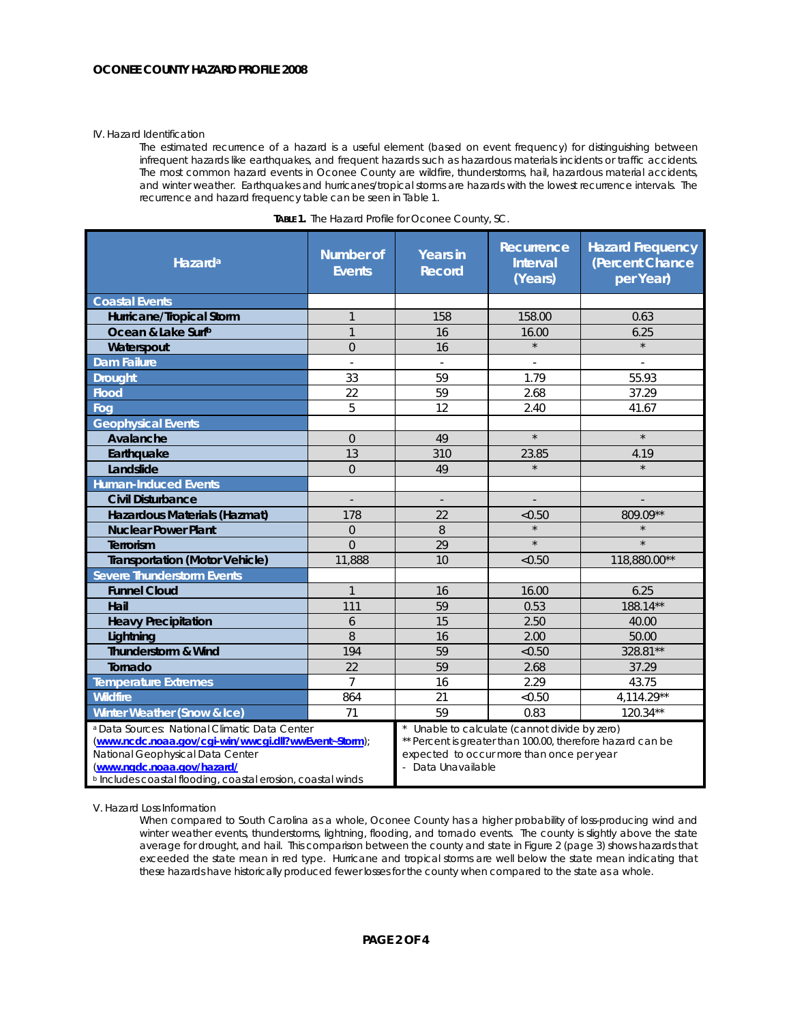#### IV. Hazard Identification

The estimated recurrence of a hazard is a useful element (based on event frequency) for distinguishing between infrequent hazards like earthquakes, and frequent hazards such as hazardous materials incidents or traffic accidents. The most common hazard events in Oconee County are wildfire, thunderstorms, hail, hazardous material accidents, and winter weather. Earthquakes and hurricanes/tropical storms are hazards with the lowest recurrence intervals. The recurrence and hazard frequency table can be seen in Table 1.

| Hazard <sup>a</sup>                                                                                                                                                                                                                                          | <b>Number of</b><br><b>Events</b> | <b>Years in</b><br><b>Record</b>                                                                                                                                             | Recurrence<br><b>Interval</b><br>(Years) | <b>Hazard Frequency</b><br>(Percent Chance<br>per Year) |
|--------------------------------------------------------------------------------------------------------------------------------------------------------------------------------------------------------------------------------------------------------------|-----------------------------------|------------------------------------------------------------------------------------------------------------------------------------------------------------------------------|------------------------------------------|---------------------------------------------------------|
| <b>Coastal Events</b>                                                                                                                                                                                                                                        |                                   |                                                                                                                                                                              |                                          |                                                         |
| Hurricane/Tropical Storm                                                                                                                                                                                                                                     | $\mathbf{1}$                      | 158                                                                                                                                                                          | 158.00                                   | 0.63                                                    |
| Ocean & Lake Surfb                                                                                                                                                                                                                                           | $\mathbf{1}$                      | 16                                                                                                                                                                           | 16.00                                    | 6.25                                                    |
| Waterspout                                                                                                                                                                                                                                                   | $\overline{0}$                    | 16                                                                                                                                                                           | $\star$                                  | $\star$                                                 |
| <b>Dam Failure</b>                                                                                                                                                                                                                                           |                                   |                                                                                                                                                                              |                                          |                                                         |
| <b>Drought</b>                                                                                                                                                                                                                                               | 33                                | 59                                                                                                                                                                           | 1.79                                     | 55.93                                                   |
| <b>Flood</b>                                                                                                                                                                                                                                                 | 22                                | 59                                                                                                                                                                           | 2.68                                     | 37.29                                                   |
| Fog                                                                                                                                                                                                                                                          | 5                                 | 12                                                                                                                                                                           | 2.40                                     | 41.67                                                   |
| <b>Geophysical Events</b>                                                                                                                                                                                                                                    |                                   |                                                                                                                                                                              |                                          |                                                         |
| Avalanche                                                                                                                                                                                                                                                    | $\overline{0}$                    | 49                                                                                                                                                                           | $\star$                                  | $\star$                                                 |
| Earthquake                                                                                                                                                                                                                                                   | 13                                | 310                                                                                                                                                                          | 23.85                                    | 4.19                                                    |
| Landslide                                                                                                                                                                                                                                                    | $\overline{O}$                    | 49                                                                                                                                                                           |                                          |                                                         |
| <b>Human-Induced Events</b>                                                                                                                                                                                                                                  |                                   |                                                                                                                                                                              |                                          |                                                         |
| <b>Civil Disturbance</b>                                                                                                                                                                                                                                     |                                   | $\overline{\phantom{a}}$                                                                                                                                                     |                                          |                                                         |
| Hazardous Materials (Hazmat)                                                                                                                                                                                                                                 | 178                               | 22                                                                                                                                                                           | < 0.50                                   | 809.09**                                                |
| <b>Nuclear Power Plant</b>                                                                                                                                                                                                                                   | $\mathbf 0$                       | 8                                                                                                                                                                            |                                          |                                                         |
| Terrorism                                                                                                                                                                                                                                                    | $\Omega$                          | 29                                                                                                                                                                           | $\star$                                  | $\star$                                                 |
| <b>Transportation (Motor Vehicle)</b>                                                                                                                                                                                                                        | 11,888                            | 10                                                                                                                                                                           | < 0.50                                   | 118,880.00**                                            |
| <b>Severe Thunderstorm Events</b>                                                                                                                                                                                                                            |                                   |                                                                                                                                                                              |                                          |                                                         |
| <b>Funnel Cloud</b>                                                                                                                                                                                                                                          | $\mathbf{1}$                      | 16                                                                                                                                                                           | 16.00                                    | 6.25                                                    |
| Hail                                                                                                                                                                                                                                                         | 111                               | 59                                                                                                                                                                           | 0.53                                     | 188.14**                                                |
| <b>Heavy Precipitation</b>                                                                                                                                                                                                                                   | 6                                 | 15                                                                                                                                                                           | 2.50                                     | 40.00                                                   |
| Lightning                                                                                                                                                                                                                                                    | 8                                 | 16                                                                                                                                                                           | 2.00                                     | 50.00                                                   |
| Thunderstorm & Wind                                                                                                                                                                                                                                          | 194                               | 59                                                                                                                                                                           | < 0.50                                   | 328.81**                                                |
| Tornado                                                                                                                                                                                                                                                      | 22                                | 59                                                                                                                                                                           | 2.68                                     | 37.29                                                   |
| Temperature Extremes                                                                                                                                                                                                                                         | $\overline{7}$                    | 16                                                                                                                                                                           | 2.29                                     | 43.75                                                   |
| <b>Wildfire</b>                                                                                                                                                                                                                                              | 864                               | 21                                                                                                                                                                           | < 0.50                                   | 4,114.29**                                              |
| Winter Weather (Snow & Ice)                                                                                                                                                                                                                                  | 71                                | 59                                                                                                                                                                           | 0.83                                     | 120.34**                                                |
| <sup>a</sup> Data Sources: National Climatic Data Center<br>(www.ncdc.noaa.gov/cgi-win/wwcgi.dll?wwEvent~Storm);<br>National Geophysical Data Center<br>(www.ngdc.noaa.gov/hazard/<br><sup>b</sup> Includes coastal flooding, coastal erosion, coastal winds |                                   | Unable to calculate (cannot divide by zero)<br>** Percent is greater than 100.00, therefore hazard can be<br>expected to occur more than once per year<br>- Data Unavailable |                                          |                                                         |

| TABLE 1. The Hazard Profile for Oconee County, SC. |  |  |
|----------------------------------------------------|--|--|
|                                                    |  |  |

V. Hazard Loss Information

When compared to South Carolina as a whole, Oconee County has a higher probability of loss-producing wind and winter weather events, thunderstorms, lightning, flooding, and tornado events. The county is slightly above the state average for drought, and hail. This comparison between the county and state in Figure 2 (page 3) shows hazards that exceeded the state mean in red type. Hurricane and tropical storms are well below the state mean indicating that these hazards have historically produced fewer losses for the county when compared to the state as a whole.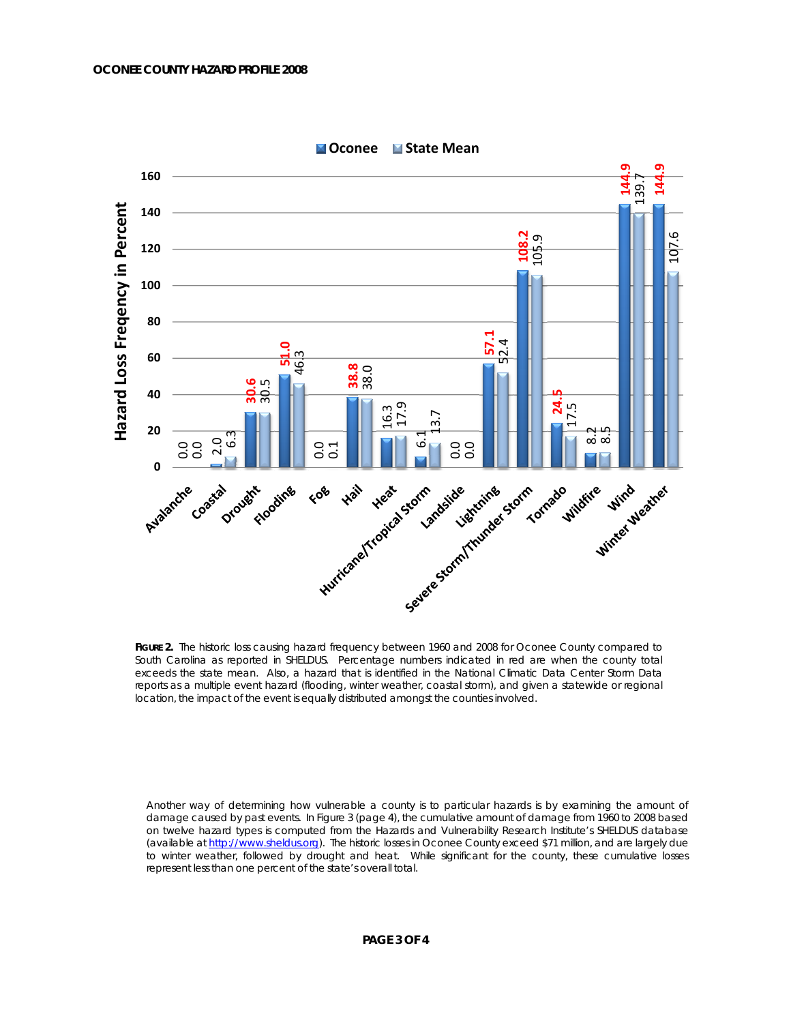

**Oconee State Mean**

FIGURE 2. The historic loss causing hazard frequency between 1960 and 2008 for Oconee County compared to South Carolina as reported in SHELDUS. Percentage numbers indicated in red are when the county total exceeds the state mean. Also, a hazard that is identified in the National Climatic Data Center Storm Data reports as a multiple event hazard (flooding, winter weather, coastal storm), and given a statewide or regional location, the impact of the event is equally distributed amongst the counties involved.

Another way of determining how vulnerable a county is to particular hazards is by examining the amount of damage caused by past events. In Figure 3 (page 4), the cumulative amount of damage from 1960 to 2008 based on twelve hazard types is computed from the Hazards and Vulnerability Research Institute's SHELDUS database (available at http://www.sheldus.org). The historic losses in Oconee County exceed \$71 million, and are largely due to winter weather, followed by drought and heat. While significant for the county, these cumulative losses represent less than one percent of the state's overall total.